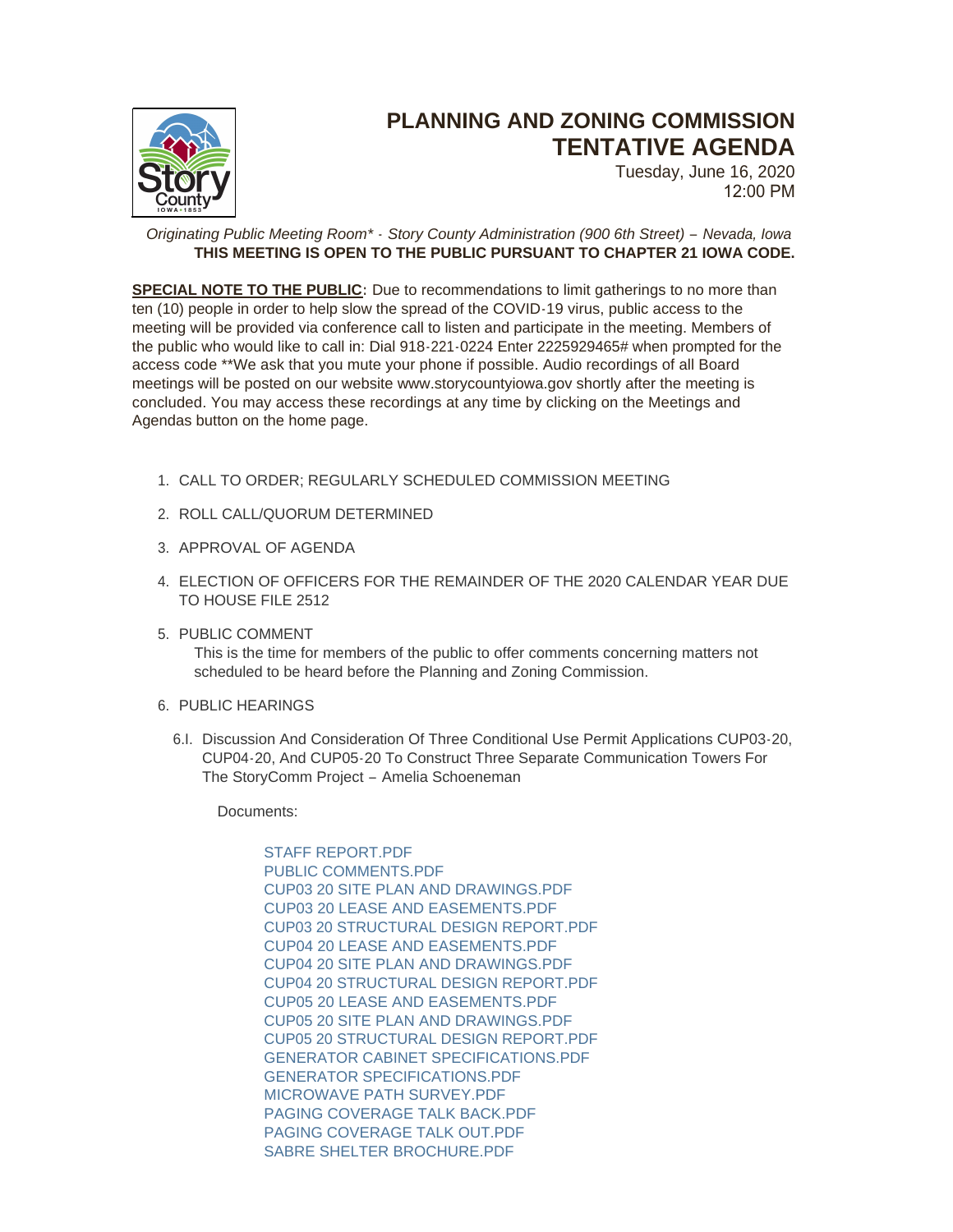

## **PLANNING AND ZONING COMMISSION TENTATIVE AGENDA**

Tuesday, June 16, 2020 12:00 PM

*Originating Public Meeting Room\* - Story County Administration (900 6th Street) – Nevada, Iowa* **THIS MEETING IS OPEN TO THE PUBLIC PURSUANT TO CHAPTER 21 IOWA CODE.**

**SPECIAL NOTE TO THE PUBLIC:** Due to recommendations to limit gatherings to no more than ten (10) people in order to help slow the spread of the COVID-19 virus, public access to the meeting will be provided via conference call to listen and participate in the meeting. Members of the public who would like to call in: Dial 918-221-0224 Enter 2225929465# when prompted for the access code \*\*We ask that you mute your phone if possible. Audio recordings of all Board meetings will be posted on our website www.storycountyiowa.gov shortly after the meeting is concluded. You may access these recordings at any time by clicking on the Meetings and Agendas button on the home page.

- CALL TO ORDER; REGULARLY SCHEDULED COMMISSION MEETING 1.
- 2. ROLL CALL/QUORUM DETERMINED
- 3. APPROVAL OF AGENDA
- ELECTION OF OFFICERS FOR THE REMAINDER OF THE 2020 CALENDAR YEAR DUE 4. TO HOUSE FILE 2512
- 5. PUBLIC COMMENT

This is the time for members of the public to offer comments concerning matters not scheduled to be heard before the Planning and Zoning Commission.

- 6. PUBLIC HEARINGS
	- 6.I. Discussion And Consideration Of Three Conditional Use Permit Applications CUP03-20, CUP04-20, And CUP05-20 To Construct Three Separate Communication Towers For The StoryComm Project – Amelia Schoeneman

Documents:

STAFF REPORT PDF [PUBLIC COMMENTS.PDF](http://www.storycountyiowa.gov/AgendaCenter/ViewFile/Item/17952?fileID=13714) [CUP03 20 SITE PLAN AND DRAWINGS.PDF](http://www.storycountyiowa.gov/AgendaCenter/ViewFile/Item/17952?fileID=13702) [CUP03 20 LEASE AND EASEMENTS.PDF](http://www.storycountyiowa.gov/AgendaCenter/ViewFile/Item/17952?fileID=13701) [CUP03 20 STRUCTURAL DESIGN REPORT.PDF](http://www.storycountyiowa.gov/AgendaCenter/ViewFile/Item/17952?fileID=13703) CUP04 20 LEASE AND EASEMENTS PDE [CUP04 20 SITE PLAN AND DRAWINGS.PDF](http://www.storycountyiowa.gov/AgendaCenter/ViewFile/Item/17952?fileID=13705) [CUP04 20 STRUCTURAL DESIGN REPORT.PDF](http://www.storycountyiowa.gov/AgendaCenter/ViewFile/Item/17952?fileID=13706) [CUP05 20 LEASE AND EASEMENTS.PDF](http://www.storycountyiowa.gov/AgendaCenter/ViewFile/Item/17952?fileID=13707) [CUP05 20 SITE PLAN AND DRAWINGS.PDF](http://www.storycountyiowa.gov/AgendaCenter/ViewFile/Item/17952?fileID=13708) [CUP05 20 STRUCTURAL DESIGN REPORT.PDF](http://www.storycountyiowa.gov/AgendaCenter/ViewFile/Item/17952?fileID=13720) [GENERATOR CABINET SPECIFICATIONS.PDF](http://www.storycountyiowa.gov/AgendaCenter/ViewFile/Item/17952?fileID=13709) [GENERATOR SPECIFICATIONS.PDF](http://www.storycountyiowa.gov/AgendaCenter/ViewFile/Item/17952?fileID=13710) [MICROWAVE PATH SURVEY.PDF](http://www.storycountyiowa.gov/AgendaCenter/ViewFile/Item/17952?fileID=13711) [PAGING COVERAGE TALK BACK.PDF](http://www.storycountyiowa.gov/AgendaCenter/ViewFile/Item/17952?fileID=13712) [PAGING COVERAGE TALK OUT.PDF](http://www.storycountyiowa.gov/AgendaCenter/ViewFile/Item/17952?fileID=13713) SABRE SHELTER BROCHURE PDF